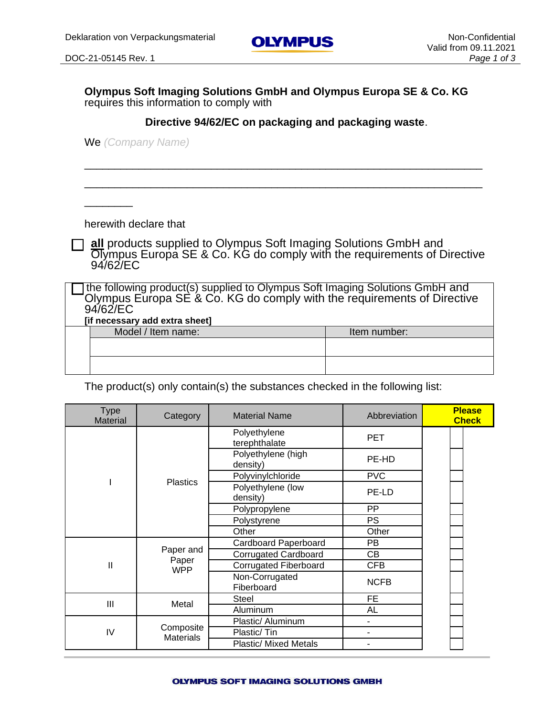$\overline{\phantom{a}}$ 

**Olympus Soft Imaging Solutions GmbH and Olympus Europa SE & Co. KG**  requires this information to comply with

**Directive 94/62/EC on packaging and packaging waste**.

\_\_\_\_\_\_\_\_\_\_\_\_\_\_\_\_\_\_\_\_\_\_\_\_\_\_\_\_\_\_\_\_\_\_\_\_\_\_\_\_\_\_\_\_\_\_\_\_\_\_\_\_\_\_\_\_\_\_\_\_\_\_\_\_\_\_

\_\_\_\_\_\_\_\_\_\_\_\_\_\_\_\_\_\_\_\_\_\_\_\_\_\_\_\_\_\_\_\_\_\_\_\_\_\_\_\_\_\_\_\_\_\_\_\_\_\_\_\_\_\_\_\_\_\_\_\_\_\_\_\_\_\_

We *(Company Name)*

herewith declare that

**all** products supplied to Olympus Soft Imaging Solutions GmbH and Olympus Europa SE & Co. KG do comply with the requirements of Directive 94/62/EC

the following product(s) supplied to Olympus Soft Imaging Solutions GmbH and Olympus Europa SE & Co. KG do comply with the requirements of Directive 94/62/EC

| [if necessary add extra sheet] |              |
|--------------------------------|--------------|
| Model / Item name:             | Item number: |
|                                |              |
|                                |              |
|                                |              |
|                                |              |

The product(s) only contain(s) the substances checked in the following list:

| <b>Type</b><br><b>Material</b> | Category                      | <b>Material Name</b>           | Abbreviation | <b>Please</b><br><b>Check</b> |
|--------------------------------|-------------------------------|--------------------------------|--------------|-------------------------------|
|                                |                               | Polyethylene<br>terephthalate  | <b>PET</b>   |                               |
|                                |                               | Polyethylene (high<br>density) | PE-HD        |                               |
|                                | <b>Plastics</b>               | Polyvinylchloride              | <b>PVC</b>   |                               |
|                                |                               | Polyethylene (low<br>density)  | PE-LD        |                               |
|                                |                               | Polypropylene                  | <b>PP</b>    |                               |
|                                |                               | Polystyrene                    | <b>PS</b>    |                               |
|                                |                               | Other                          | Other        |                               |
|                                |                               | Cardboard Paperboard           | PB           |                               |
|                                | Paper and<br>Paper            | <b>Corrugated Cardboard</b>    | <b>CB</b>    |                               |
| Ш                              | <b>WPP</b>                    | <b>Corrugated Fiberboard</b>   | <b>CFB</b>   |                               |
|                                |                               | Non-Corrugated<br>Fiberboard   | <b>NCFB</b>  |                               |
| III                            | Metal                         | Steel                          | FE.          |                               |
|                                |                               | Aluminum                       | AL           |                               |
|                                |                               | Plastic/ Aluminum              |              |                               |
| IV                             | Composite<br><b>Materials</b> | Plastic/Tin                    |              |                               |
|                                |                               | <b>Plastic/ Mixed Metals</b>   |              |                               |